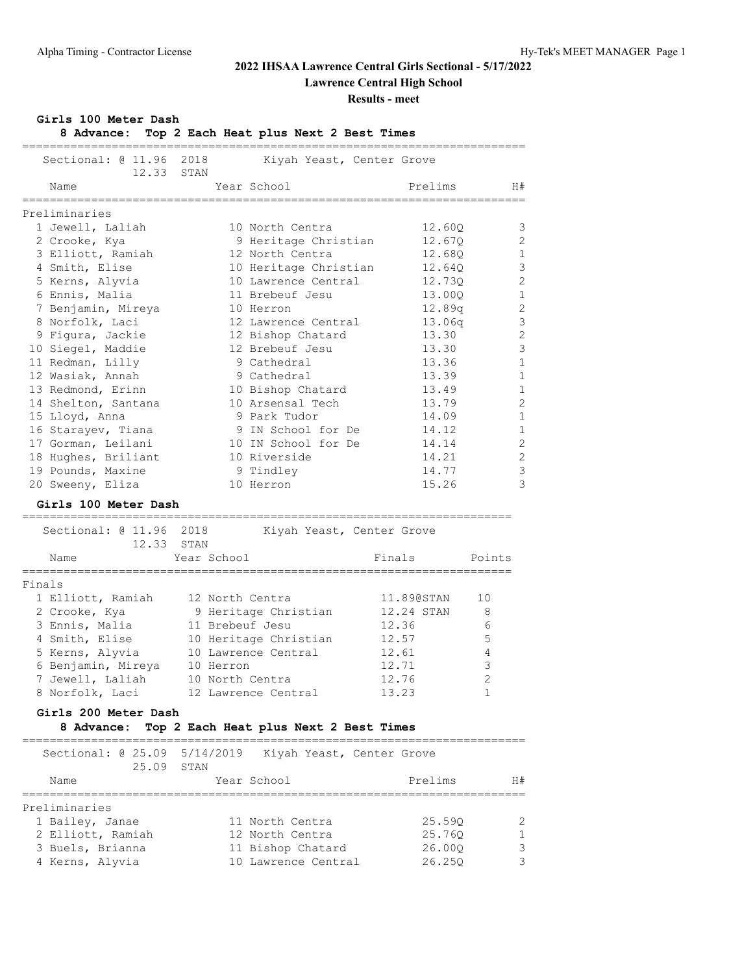## **2022 IHSAA Lawrence Central Girls Sectional - 5/17/2022**

**Lawrence Central High School**

#### **Results - meet**

#### **Girls 100 Meter Dash**

**8 Advance: Top 2 Each Heat plus Next 2 Best Times**

| Sectional: 0 11.96<br>12.33                                               | 2018<br>STAN    | Kiyah Yeast, Center Grove |            |                |
|---------------------------------------------------------------------------|-----------------|---------------------------|------------|----------------|
| Name                                                                      |                 | Year School               | Prelims    | H#             |
| Preliminaries                                                             |                 |                           |            |                |
| 1 Jewell, Laliah                                                          |                 | 10 North Centra           | 12.600     | 3              |
| 2 Crooke, Kya                                                             |                 | 9 Heritage Christian      | 12.670     | $\overline{2}$ |
| 3 Elliott, Ramiah                                                         |                 | 12 North Centra           | 12.68Q     | $\mathbf 1$    |
| 4 Smith, Elise                                                            |                 | 10 Heritage Christian     | 12.64Q     | 3              |
| 5 Kerns, Alyvia                                                           |                 | 10 Lawrence Central       | 12.73Q     | $\overline{2}$ |
| 6 Ennis, Malia                                                            |                 | 11 Brebeuf Jesu           | 13.000     | $\mathbf{1}$   |
| 7 Benjamin, Mireya                                                        |                 | 10 Herron                 | 12.89q     | $\overline{2}$ |
| 8 Norfolk, Laci                                                           |                 | 12 Lawrence Central       | 13.06q     | 3              |
| 9 Figura, Jackie                                                          |                 | 12 Bishop Chatard         | 13.30      | $\overline{2}$ |
| 10 Siegel, Maddie                                                         |                 | 12 Brebeuf Jesu           | 13.30      | 3              |
| 11 Redman, Lilly                                                          |                 | 9 Cathedral               | 13.36      | $\mathbf{1}$   |
| 12 Wasiak, Annah                                                          |                 | 9 Cathedral               | 13.39      | $\mathbf{1}$   |
| 13 Redmond, Erinn                                                         |                 | 10 Bishop Chatard         | 13.49      | $\mathbf{1}$   |
| 14 Shelton, Santana                                                       |                 | 10 Arsensal Tech          | 13.79      | $\overline{2}$ |
| 15 Lloyd, Anna                                                            |                 | 9 Park Tudor              | 14.09      | $\mathbf{1}$   |
| 16 Starayev, Tiana                                                        |                 | 9 IN School for De        | 14.12      | $\mathbf{1}$   |
| 17 Gorman, Leilani                                                        |                 | 10 IN School for De       | 14.14      | $\overline{2}$ |
| 18 Hughes, Briliant                                                       |                 | 10 Riverside              | 14.21      | $\overline{2}$ |
| 19 Pounds, Maxine                                                         |                 | 9 Tindley                 | 14.77      | 3              |
| 20 Sweeny, Eliza                                                          |                 | 10 Herron                 | 15.26      | 3              |
| Girls 100 Meter Dash                                                      |                 |                           |            |                |
| =====================================<br>Sectional: @ 11.96 2018<br>12.33 | STAN            | Kiyah Yeast, Center Grove |            |                |
| Name                                                                      | Year School     |                           | Finals     | Points         |
| Finals                                                                    |                 |                           |            |                |
| 1 Elliott, Ramiah                                                         | 12 North Centra |                           | 11.890STAN | 10             |
| 2 Crooke, Kya                                                             |                 | 9 Heritage Christian      | 12.24 STAN | 8              |
| 3 Ennis, Malia                                                            | 11 Brebeuf Jesu |                           | 12.36      | 6              |
| 4 Smith, Elise                                                            |                 | 10 Heritage Christian     | 12.57      | 5              |
| 5 Kerns, Alyvia                                                           |                 | 10 Lawrence Central       | 12.61      | 4              |
| 6 Benjamin, Mireya                                                        | 10 Herron       |                           | 12.71      | 3              |

#### **Girls 200 Meter Dash**

#### **8 Advance: Top 2 Each Heat plus Next 2 Best Times**

| Sectional: 0 25.09 5/14/2019<br>25.09 | STAN | Kiyah Yeast, Center Grove |         |    |
|---------------------------------------|------|---------------------------|---------|----|
| Name                                  |      | Year School               | Prelims | H# |
| Preliminaries                         |      |                           |         |    |
|                                       |      |                           |         |    |
| 1 Bailey, Janae                       |      | 11 North Centra           | 25.590  | 2  |
| 2 Elliott, Ramiah                     |      | 12 North Centra           | 25.760  |    |
| 3 Buels, Brianna                      |      | 11 Bishop Chatard         | 26.000  | 3  |
| 4 Kerns, Alyvia                       |      | 10 Lawrence Central       | 26.250  | 3  |

 7 Jewell, Laliah 10 North Centra 12.76 2 8 Norfolk, Laci 12 Lawrence Central 13.23 1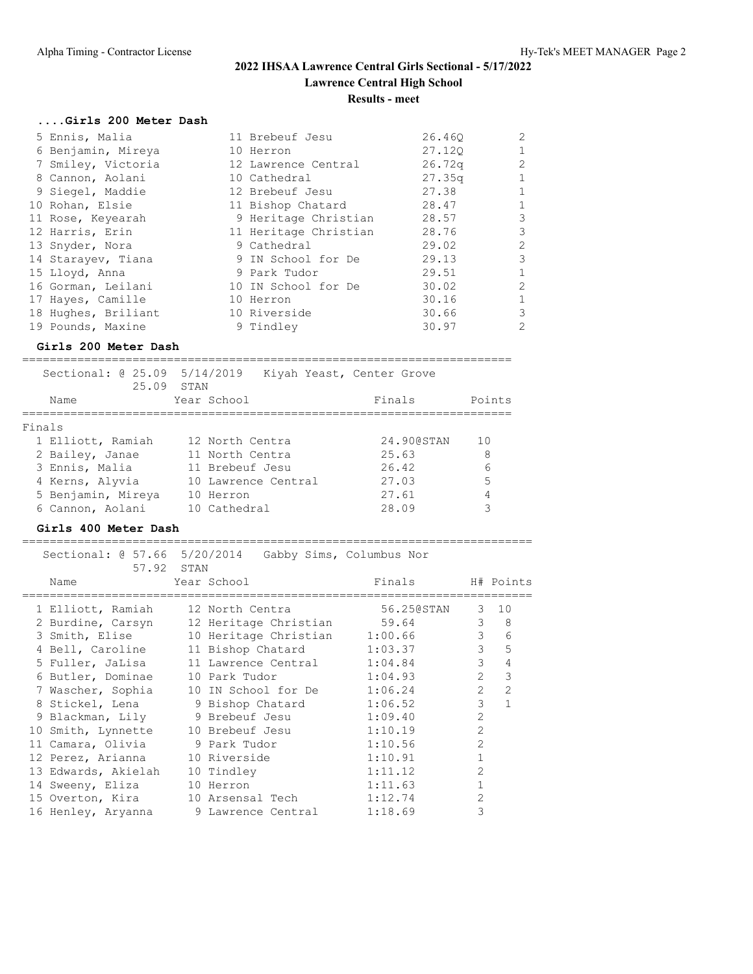### **....Girls 200 Meter Dash**

| 5 Ennis, Malia      | 11 Brebeuf Jesu       | 26.460 | 2              |
|---------------------|-----------------------|--------|----------------|
| 6 Benjamin, Mireya  | 10 Herron             | 27.120 |                |
| 7 Smiley, Victoria  | 12 Lawrence Central   | 26.72q | $\overline{2}$ |
| 8 Cannon, Aolani    | 10 Cathedral          | 27.35q |                |
| 9 Siegel, Maddie    | 12 Brebeuf Jesu       | 27.38  | $\mathbf{1}$   |
| 10 Rohan, Elsie     | 11 Bishop Chatard     | 28.47  |                |
| 11 Rose, Keyearah   | 9 Heritage Christian  | 28.57  | 3              |
| 12 Harris, Erin     | 11 Heritage Christian | 28.76  | 3              |
| 13 Snyder, Nora     | 9 Cathedral           | 29.02  | 2              |
| 14 Starayev, Tiana  | 9 IN School for De    | 29.13  | 3              |
| 15 Lloyd, Anna      | 9 Park Tudor          | 29.51  | $\mathbf{1}$   |
| 16 Gorman, Leilani  | 10 IN School for De   | 30.02  | 2              |
| 17 Hayes, Camille   | 10 Herron             | 30.16  | $\mathbf{1}$   |
| 18 Hughes, Briliant | 10 Riverside          | 30.66  | 3              |
| 19 Pounds, Maxine   | 9 Tindley             | 30.97  | 2              |

#### **Girls 200 Meter Dash**

======================================================================= Sectional: @ 25.09 5/14/2019 Kiyah Yeast, Center Grove 25.09 STAN Name Year School **Finals** Points ======================================================================= Finals 1 Elliott, Ramiah 12 North Centra 24.90@STAN 10 2 Bailey, Janae 11 North Centra 25.63 8 3 Ennis, Malia 11 Brebeuf Jesu 26.42 6 4 Kerns, Alyvia 10 Lawrence Central 27.03 5 5 Benjamin, Mireya 10 Herron 27.61 4

6 Cannon, Aolani 10 Cathedral 28.09 3

#### **Girls 400 Meter Dash**

| 57.92 STAN          | Sectional: 0 57.66 5/20/2014 Gabby Sims, Columbus Nor |            |                |                |
|---------------------|-------------------------------------------------------|------------|----------------|----------------|
| Name                | Year School                                           | Finals     |                | H# Points      |
| 1 Elliott, Ramiah   | 12 North Centra                                       | 56.25@STAN | $\mathcal{S}$  | 10             |
| 2 Burdine, Carsyn   | 12 Heritage Christian 59.64                           |            | $\mathcal{E}$  | 8              |
| 3 Smith, Elise      | 10 Heritage Christian                                 | 1:00.66    | $\mathcal{E}$  | 6              |
| 4 Bell, Caroline    | 11 Bishop Chatard                                     | 1:03.37    | $\mathcal{E}$  | 5              |
| 5 Fuller, JaLisa    | 11 Lawrence Central                                   | 1:04.84    | $\mathcal{E}$  | $\overline{4}$ |
| 6 Butler, Dominae   | 10 Park Tudor                                         | 1:04.93    | $\overline{2}$ | $\mathcal{E}$  |
| 7 Wascher, Sophia   | 10 IN School for De                                   | 1:06.24    | $\overline{2}$ | $\overline{2}$ |
|                     | 8 Stickel, Lena 9 Bishop Chatard                      | 1:06.52    | 3              | $\mathbf{1}$   |
|                     |                                                       | 1:09.40    | $\mathcal{L}$  |                |
| 10 Smith, Lynnette  | 10 Brebeuf Jesu                                       | 1:10.19    | $\mathcal{L}$  |                |
|                     | 11 Camara, Olivia (1988) 9 Park Tudor                 | 1:10.56    | $\mathcal{L}$  |                |
| 12 Perez, Arianna   | 10 Riverside                                          | 1:10.91    |                |                |
| 13 Edwards, Akielah | 10 Tindley                                            | 1:11.12    | $\overline{2}$ |                |
| 14 Sweeny, Eliza    | 10 Herron                                             | 1:11.63    |                |                |
| 15 Overton, Kira    | 10 Arsensal Tech                                      | 1:12.74    | $\mathcal{P}$  |                |
|                     | 16 Henley, Aryanna 9 Lawrence Central                 | 1:18.69    | 3              |                |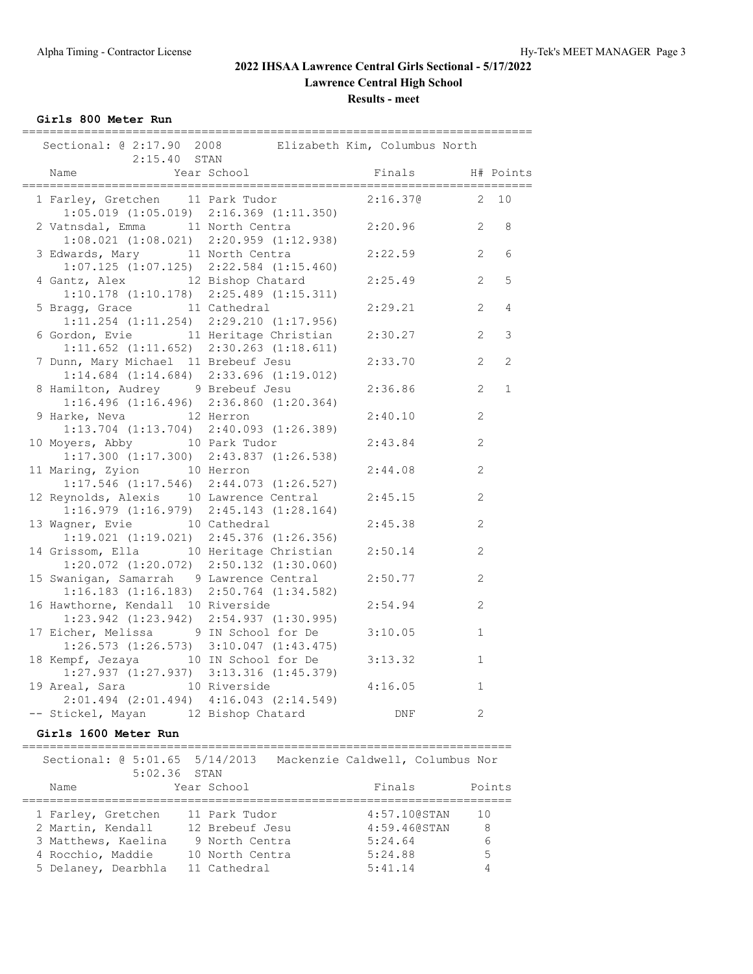**Girls 800 Meter Run**

| =============                                                                               |             |                  |                |                |
|---------------------------------------------------------------------------------------------|-------------|------------------|----------------|----------------|
| Sectional: @ 2:17.90 2008 Elizabeth Kim, Columbus North<br>$2:15.40$ STAN                   |             |                  |                |                |
| Name                                                                                        | Year School | Finals H# Points |                |                |
| 1 Farley, Gretchen 11 Park Tudor<br>$1:05.019$ $(1:05.019)$ $2:16.369$ $(1:11.350)$         |             | 2:16.370 2 10    |                |                |
| 2 Vatnsdal, Emma 11 North Centra<br>$1:08.021$ $(1:08.021)$ $2:20.959$ $(1:12.938)$         |             | 2:20.96          | 2              | 8              |
| 3 Edwards, Mary 11 North Centra<br>$1:07.125$ $(1:07.125)$ $2:22.584$ $(1:15.460)$          |             | 2:22.59          | 2              | 6              |
| 4 Gantz, Alex 12 Bishop Chatard<br>$1:10.178$ $(1:10.178)$ $2:25.489$ $(1:15.311)$          |             | 2:25.49          | 2              | 5              |
| 5 Bragg, Grace 11 Cathedral<br>$1:11.254$ $(1:11.254)$ $2:29.210$ $(1:17.956)$              |             | 2:29.21          | $\overline{2}$ | $\overline{4}$ |
| 6 Gordon, Evie 11 Heritage Christian<br>$1:11.652$ $(1:11.652)$ $2:30.263$ $(1:18.611)$     |             | 2:30.27          | 2              | 3              |
| 7 Dunn, Mary Michael 11 Brebeuf Jesu<br>$1:14.684$ $(1:14.684)$ $2:33.696$ $(1:19.012)$     |             | 2:33.70          | $\overline{2}$ | $\mathbf{2}$   |
| 8 Hamilton, Audrey 9 Brebeuf Jesu<br>$1:16.496$ $(1:16.496)$ $2:36.860$ $(1:20.364)$        |             | 2:36.86          | $\overline{2}$ | $\mathbf 1$    |
| 9 Harke, Neva 12 Herron<br>$1:13.704$ $(1:13.704)$ $2:40.093$ $(1:26.389)$                  |             | 2:40.10          | $\overline{c}$ |                |
| 10 Moyers, Abby 10 Park Tudor<br>$1:17.300$ $(1:17.300)$ $2:43.837$ $(1:26.538)$            |             | 2:43.84          | 2              |                |
| 11 Maring, Zyion 10 Herron<br>$1:17.546$ $(1:17.546)$ $2:44.073$ $(1:26.527)$               |             | 2:44.08          | 2              |                |
| 12 Reynolds, Alexis 10 Lawrence Central<br>$1:16.979$ $(1:16.979)$ $2:45.143$ $(1:28.164)$  |             | 2:45.15          | $\mathbf{2}$   |                |
| 13 Wagner, Evie 10 Cathedral<br>$1:19.021$ $(1:19.021)$ $2:45.376$ $(1:26.356)$             |             | 2:45.38          | $\mathbf{2}$   |                |
| 14 Grissom, Ella 10 Heritage Christian<br>$1:20.072$ $(1:20.072)$ $2:50.132$ $(1:30.060)$   |             | 2:50.14          | $\overline{2}$ |                |
| 15 Swanigan, Samarrah 9 Lawrence Central<br>$1:16.183$ $(1:16.183)$ $2:50.764$ $(1:34.582)$ |             | 2:50.77          | $\overline{c}$ |                |
| 16 Hawthorne, Kendall 10 Riverside<br>$1:23.942$ $(1:23.942)$ $2:54.937$ $(1:30.995)$       |             | 2:54.94          | 2              |                |
| 17 Eicher, Melissa 9 IN School for De<br>$1:26.573$ $(1:26.573)$ $3:10.047$ $(1:43.475)$    |             | 3:10.05          | $\mathbf{1}$   |                |
| 18 Kempf, Jezaya 10 IN School for De<br>$1:27.937$ $(1:27.937)$ $3:13.316$ $(1:45.379)$     |             | 3:13.32          | $\mathbf{1}$   |                |
| 19 Areal, Sara 10 Riverside<br>$2:01.494$ $(2:01.494)$ $4:16.043$ $(2:14.549)$              |             | 4:16.05          | $\mathbf{1}$   |                |
| -- Stickel, Mayan 12 Bishop Chatard                                                         |             | DNF              | 2              |                |

#### **Girls 1600 Meter Run**

======================================================================= Sectional: @ 5:01.65 5/14/2013 Mackenzie Caldwell, Columbus Nor 5:02.36 STAN Name Year School **Finals** Points ======================================================================= 1 Farley, Gretchen 11 Park Tudor 4:57.10@STAN 10 2 Martin, Kendall 12 Brebeuf Jesu 4:59.46@STAN 8 3 Matthews, Kaelina 9 North Centra 5:24.64 6 4 Rocchio, Maddie 10 North Centra 5:24.88 5 5 Delaney, Dearbhla 11 Cathedral 5:41.14 4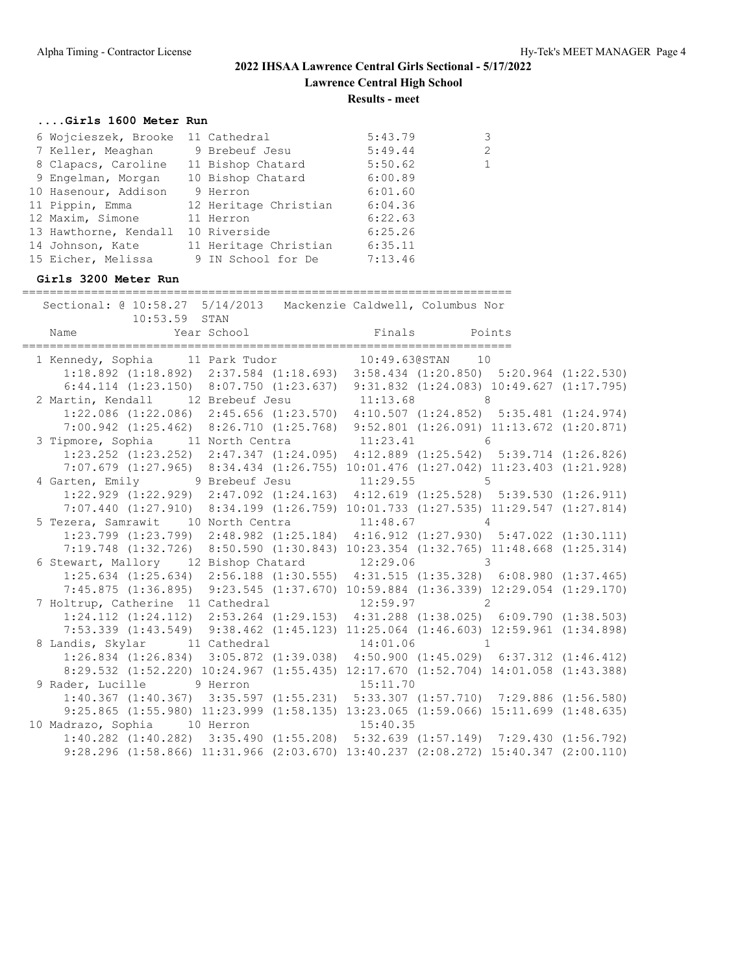#### **....Girls 1600 Meter Run**

| 6 Wojcieszek, Brooke 11 Cathedral |                       | 5:43.79 | 3            |
|-----------------------------------|-----------------------|---------|--------------|
| 7 Keller, Meaghan                 | 9 Brebeuf Jesu        | 5:49.44 | 2            |
| 8 Clapacs, Caroline               | 11 Bishop Chatard     | 5:50.62 | $\mathbf{1}$ |
| 9 Engelman, Morgan                | 10 Bishop Chatard     | 6:00.89 |              |
| 10 Hasenour, Addison              | 9 Herron              | 6:01.60 |              |
| 11 Pippin, Emma                   | 12 Heritage Christian | 6:04.36 |              |
| 12 Maxim, Simone                  | 11 Herron             | 6:22.63 |              |
| 13 Hawthorne, Kendall             | 10 Riverside          | 6:25.26 |              |
| 14 Johnson, Kate                  | 11 Heritage Christian | 6:35.11 |              |
| 15 Eicher, Melissa                | 9 IN School for De    | 7:13.46 |              |
|                                   |                       |         |              |

#### **Girls 3200 Meter Run**

======================================================================= Sectional: @ 10:58.27 5/14/2013 Mackenzie Caldwell, Columbus Nor 10:53.59 STAN Name Year School Finals Points ======================================================================= 1 Kennedy, Sophia 11 Park Tudor 10:49.63@STAN 10 1:18.892 (1:18.892) 2:37.584 (1:18.693) 3:58.434 (1:20.850) 5:20.964 (1:22.530) 6:44.114 (1:23.150) 8:07.750 (1:23.637) 9:31.832 (1:24.083) 10:49.627 (1:17.795) 2 Martin, Kendall 12 Brebeuf Jesu 11:13.68 8 1:22.086 (1:22.086) 2:45.656 (1:23.570) 4:10.507 (1:24.852) 5:35.481 (1:24.974) 7:00.942 (1:25.462) 8:26.710 (1:25.768) 9:52.801 (1:26.091) 11:13.672 (1:20.871) 3 Tipmore, Sophia 11 North Centra 11:23.41 6 1:23.252 (1:23.252) 2:47.347 (1:24.095) 4:12.889 (1:25.542) 5:39.714 (1:26.826) 7:07.679 (1:27.965) 8:34.434 (1:26.755) 10:01.476 (1:27.042) 11:23.403 (1:21.928) 4 Garten, Emily 3 Brebeuf Jesu 11:29.55 5 1:22.929 (1:22.929) 2:47.092 (1:24.163) 4:12.619 (1:25.528) 5:39.530 (1:26.911) 7:07.440 (1:27.910) 8:34.199 (1:26.759) 10:01.733 (1:27.535) 11:29.547 (1:27.814) 5 Tezera, Samrawit 10 North Centra 11:48.67 4 1:23.799 (1:23.799) 2:48.982 (1:25.184) 4:16.912 (1:27.930) 5:47.022 (1:30.111) 7:19.748 (1:32.726) 8:50.590 (1:30.843) 10:23.354 (1:32.765) 11:48.668 (1:25.314) 6 Stewart, Mallory 12 Bishop Chatard 12:29.06 3 1:25.634 (1:25.634) 2:56.188 (1:30.555) 4:31.515 (1:35.328) 6:08.980 (1:37.465) 7:45.875 (1:36.895) 9:23.545 (1:37.670) 10:59.884 (1:36.339) 12:29.054 (1:29.170) 7 Holtrup, Catherine 11 Cathedral 1:24.112 (1:24.112) 2:53.264 (1:29.153) 4:31.288 (1:38.025) 6:09.790 (1:38.503) 7:53.339 (1:43.549) 9:38.462 (1:45.123) 11:25.064 (1:46.603) 12:59.961 (1:34.898) 8 Landis, Skylar 11 Cathedral 14:01.06 1 1:26.834 (1:26.834) 3:05.872 (1:39.038) 4:50.900 (1:45.029) 6:37.312 (1:46.412) 8:29.532 (1:52.220) 10:24.967 (1:55.435) 12:17.670 (1:52.704) 14:01.058 (1:43.388) 9 Rader, Lucille 9 Herron 15:11.70 1:40.367 (1:40.367) 3:35.597 (1:55.231) 5:33.307 (1:57.710) 7:29.886 (1:56.580) 9:25.865 (1:55.980) 11:23.999 (1:58.135) 13:23.065 (1:59.066) 15:11.699 (1:48.635) 10 Madrazo, Sophia 10 Herron 15:40.35 1:40.282 (1:40.282) 3:35.490 (1:55.208) 5:32.639 (1:57.149) 7:29.430 (1:56.792) 9:28.296 (1:58.866) 11:31.966 (2:03.670) 13:40.237 (2:08.272) 15:40.347 (2:00.110)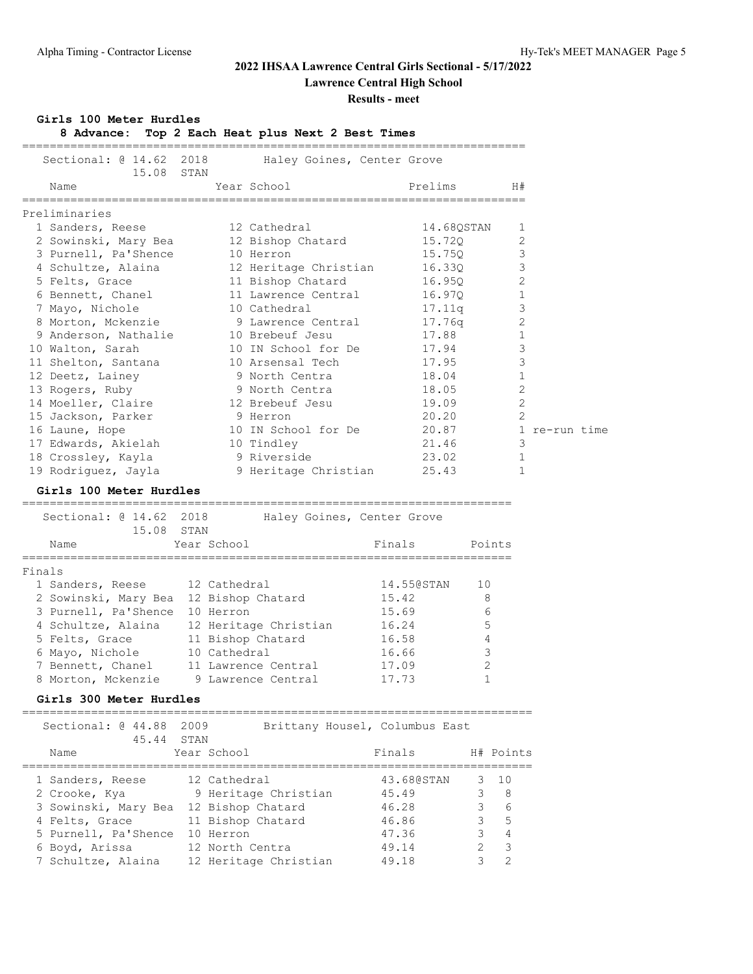## **2022 IHSAA Lawrence Central Girls Sectional - 5/17/2022**

**Lawrence Central High School**

### **Results - meet**

### **Girls 100 Meter Hurdles**

**8 Advance: Top 2 Each Heat plus Next 2 Best Times**

| Sectional: @ 14.62 2018                | 15.08 STAN         |              | Haley Goines, Center Grove              |        |                                        |              |                |               |  |
|----------------------------------------|--------------------|--------------|-----------------------------------------|--------|----------------------------------------|--------------|----------------|---------------|--|
| Name                                   |                    |              | Year School<br>======================== |        | Prelims<br>=========================== |              | H#             |               |  |
| Preliminaries                          |                    |              |                                         |        |                                        |              |                |               |  |
| 1 Sanders, Reese                       |                    |              | 12 Cathedral                            |        | 14.68QSTAN                             |              | 1              |               |  |
| 2 Sowinski, Mary Bea                   |                    |              | 12 Bishop Chatard                       |        | 15.720                                 |              | $\overline{2}$ |               |  |
| 3 Purnell, Pa'Shence                   |                    |              | 10 Herron                               |        | 15.75Q                                 |              | 3              |               |  |
| 4 Schultze, Alaina                     |                    |              | 12 Heritage Christian                   |        | 16.33Q                                 |              | 3              |               |  |
| 5 Felts, Grace                         |                    |              | 11 Bishop Chatard                       |        | 16.95Q                                 |              | $\mathfrak{D}$ |               |  |
| 6 Bennett, Chanel                      |                    |              | 11 Lawrence Central                     |        | 16.97Q                                 |              | 1              |               |  |
| 7 Mayo, Nichole                        |                    |              | 10 Cathedral                            |        | 17.11q                                 |              | 3              |               |  |
| 8 Morton, Mckenzie                     |                    |              | 9 Lawrence Central                      |        | 17.76q                                 |              | 2              |               |  |
| 9 Anderson, Nathalie                   |                    |              | 10 Brebeuf Jesu                         |        | 17.88                                  |              | 1              |               |  |
| 10 Walton, Sarah                       |                    |              | 10 IN School for De                     |        | 17.94                                  |              | 3              |               |  |
| 11 Shelton, Santana                    |                    |              | 10 Arsensal Tech                        |        | 17.95                                  |              | 3              |               |  |
| 12 Deetz, Lainey                       |                    |              | 9 North Centra                          |        | 18.04                                  |              | $\mathbf 1$    |               |  |
| 13 Rogers, Ruby                        |                    |              | 9 North Centra                          |        | 18.05                                  |              | 2              |               |  |
| 14 Moeller, Claire                     |                    |              | 12 Brebeuf Jesu                         |        | 19.09                                  |              | 2              |               |  |
| 15 Jackson, Parker                     |                    |              | 9 Herron                                |        | 20.20                                  |              | $\overline{2}$ |               |  |
| 16 Laune, Hope                         |                    |              | 10 IN School for De                     |        | 20.87                                  |              |                | 1 re-run time |  |
| 17 Edwards, Akielah                    |                    |              | 10 Tindley                              |        | 21.46                                  |              | 3              |               |  |
| 18 Crossley, Kayla                     |                    |              | 9 Riverside                             |        | 23.02                                  |              | $\mathbf{1}$   |               |  |
| 19 Rodriguez, Jayla                    |                    |              | 9 Heritage Christian                    |        | 25.43                                  |              | 1              |               |  |
|                                        |                    |              |                                         |        |                                        |              |                |               |  |
| Girls 100 Meter Hurdles                |                    |              |                                         |        | ==========================             |              |                |               |  |
| Sectional: @ 14.62                     | 2018<br>15.08 STAN |              | Haley Goines, Center Grove              |        |                                        |              |                |               |  |
| Name                                   |                    | Year School  |                                         | Finals |                                        | Points       |                |               |  |
| ___________                            |                    | __________   |                                         |        |                                        |              |                |               |  |
| Finals                                 |                    |              |                                         |        |                                        |              |                |               |  |
| 1 Sanders, Reese                       | 12 Cathedral       |              |                                         |        | 14.55@STAN                             | 10           |                |               |  |
| 2 Sowinski, Mary Bea 12 Bishop Chatard |                    |              |                                         | 15.42  |                                        | 8            |                |               |  |
| 3 Purnell, Pa'Shence 10 Herron         |                    |              |                                         | 15.69  |                                        | 6            |                |               |  |
| 4 Schultze, Alaina                     |                    |              | 12 Heritage Christian                   | 16.24  |                                        | 5            |                |               |  |
| 5 Felts, Grace                         |                    |              | 11 Bishop Chatard                       | 16.58  |                                        | 4            |                |               |  |
| 6 Mayo, Nichole                        |                    | 10 Cathedral |                                         | 16.66  |                                        | 3            |                |               |  |
| 7 Bennett, Chanel                      |                    |              | 11 Lawrence Central                     | 17.09  |                                        | 2            |                |               |  |
| 8 Morton, Mckenzie 9 Lawrence Central  |                    |              |                                         | 17.73  |                                        | $\mathbf{1}$ |                |               |  |
| Girls 300 Meter Hurdles                |                    |              |                                         |        |                                        |              |                |               |  |
| Sectional: @ 44.88<br>45.44            | 2009<br>STAN       |              | Brittany Housel, Columbus East          |        |                                        |              |                |               |  |
|                                        |                    |              |                                         |        |                                        |              |                |               |  |

| Name                 | Year School           | Finals     |   | H# Points                |
|----------------------|-----------------------|------------|---|--------------------------|
| 1 Sanders, Reese     | 12 Cathedral          | 43.680STAN |   | $3 \quad 10$             |
| 2 Crooke, Kya        | 9 Heritage Christian  | 45.49      |   | - 8                      |
| 3 Sowinski, Mary Bea | 12 Bishop Chatard     | 46.28      |   | - 6                      |
| 4 Felts, Grace       | 11 Bishop Chatard     | 46.86      | 3 | $5^{\circ}$              |
| 5 Purnell, Pa'Shence | 10 Herron             | 47.36      |   | $\overline{4}$           |
| 6 Boyd, Arissa       | 12 North Centra       | 49.14      |   | $\overline{\phantom{a}}$ |
| 7 Schultze, Alaina   | 12 Heritage Christian | 49.18      |   | $\mathcal{P}$            |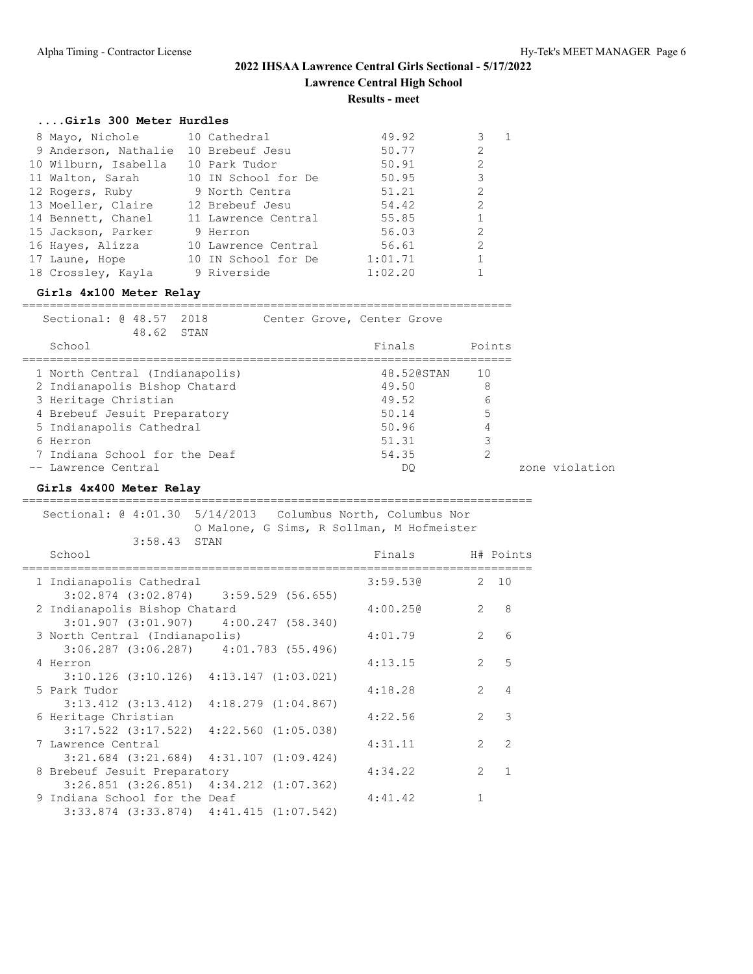### **....Girls 300 Meter Hurdles**

| 8 Mayo, Nichole      | 10 Cathedral        | 49.92   | 3              |  |
|----------------------|---------------------|---------|----------------|--|
| 9 Anderson, Nathalie | 10 Brebeuf Jesu     | 50.77   | $\mathfrak{L}$ |  |
| 10 Wilburn, Isabella | 10 Park Tudor       | 50.91   | $\overline{2}$ |  |
| 11 Walton, Sarah     | 10 IN School for De | 50.95   | 3              |  |
| 12 Rogers, Ruby      | 9 North Centra      | 51.21   | 2              |  |
| 13 Moeller, Claire   | 12 Brebeuf Jesu     | 54.42   | $\overline{2}$ |  |
| 14 Bennett, Chanel   | 11 Lawrence Central | 55.85   | $\mathbf{1}$   |  |
| 15 Jackson, Parker   | 9 Herron            | 56.03   | $\mathfrak{D}$ |  |
| 16 Hayes, Alizza     | 10 Lawrence Central | 56.61   | $\mathfrak{D}$ |  |
| 17 Laune, Hope       | 10 IN School for De | 1:01.71 | 1              |  |
| 18 Crossley, Kayla   | 9 Riverside         | 1:02.20 |                |  |
|                      |                     |         |                |  |

### **Girls 4x100 Meter Relay**

======================================================================= Sectional: @ 48.57 2018 Center Grove, Center Grove

|          | 48.62 STAN                     |            |        |                |
|----------|--------------------------------|------------|--------|----------------|
| School   |                                | Finals     | Points |                |
|          | 1 North Central (Indianapolis) | 48.520STAN | 10     |                |
|          | 2 Indianapolis Bishop Chatard  | 49.50      | 8      |                |
|          | 3 Heritage Christian           | 49.52      | 6      |                |
|          | 4 Brebeuf Jesuit Preparatory   | 50.14      | 5      |                |
|          | 5 Indianapolis Cathedral       | 50.96      | 4      |                |
| 6 Herron |                                | 51.31      | 3      |                |
|          | 7 Indiana School for the Deaf  | 54.35      |        |                |
|          | -- Lawrence Central            | DO         |        | zone violation |

### **Girls 4x400 Meter Relay**

| Sectional: @ 4:01.30 5/14/2013 Columbus North, Columbus Nor                      |  |                                           |                |                |
|----------------------------------------------------------------------------------|--|-------------------------------------------|----------------|----------------|
| 3:58.43 STAN                                                                     |  | O Malone, G Sims, R Sollman, M Hofmeister |                |                |
| School                                                                           |  | Finals                                    |                | H# Points      |
|                                                                                  |  |                                           |                |                |
| 1 Indianapolis Cathedral                                                         |  | 3:59.530                                  |                | 2, 10          |
| $3:02.874$ $(3:02.874)$ $3:59.529$ $(56.655)$                                    |  |                                           |                |                |
| 2 Indianapolis Bishop Chatard                                                    |  | 4:00.250                                  | $\overline{2}$ | 8              |
| $3:01.907$ $(3:01.907)$ $4:00.247$ $(58.340)$                                    |  |                                           |                |                |
| 3 North Central (Indianapolis)                                                   |  | 4:01.79                                   | $\mathcal{L}$  | 6              |
| $3:06.287$ $(3:06.287)$ $4:01.783$ $(55.496)$                                    |  |                                           |                |                |
| 4 Herron                                                                         |  | 4:13.15                                   | $\overline{2}$ | 5              |
| $3:10.126$ $(3:10.126)$ $4:13.147$ $(1:03.021)$                                  |  |                                           |                |                |
| 5 Park Tudor                                                                     |  | 4:18.28                                   | $\mathcal{L}$  | $\overline{4}$ |
| $3:13.412$ $(3:13.412)$ $4:18.279$ $(1:04.867)$                                  |  |                                           |                |                |
| 6 Heritage Christian                                                             |  | 4:22.56                                   | $\mathfrak{D}$ | 3              |
| $3:17.522$ $(3:17.522)$ $4:22.560$ $(1:05.038)$                                  |  |                                           |                |                |
| 7 Lawrence Central                                                               |  | 4:31.11                                   | $2^{\circ}$    | $\mathcal{L}$  |
| $3:21.684$ $(3:21.684)$ $4:31.107$ $(1:09.424)$                                  |  | 4:34.22                                   | $\overline{2}$ | $\mathbf{1}$   |
| 8 Brebeuf Jesuit Preparatory                                                     |  |                                           |                |                |
| $3:26.851$ $(3:26.851)$ $4:34.212$ $(1:07.362)$<br>9 Indiana School for the Deaf |  | 4:41.42                                   | $\mathbf{1}$   |                |
|                                                                                  |  |                                           |                |                |
| $3:33.874$ $(3:33.874)$ $4:41.415$ $(1:07.542)$                                  |  |                                           |                |                |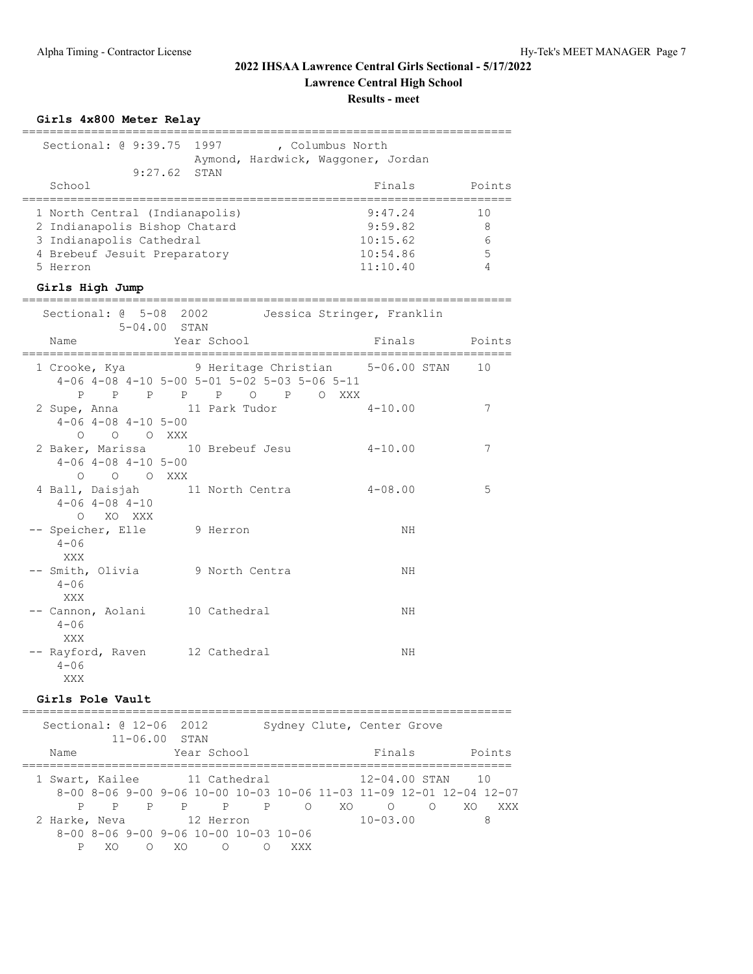### **Girls 4x800 Meter Relay** ======================================================================= Sectional: @ 9:39.75 1997 , Columbus North Aymond, Hardwick, Waggoner, Jordan 9:27.62 STAN School **Finals** Points Points Points Points Points Points Points Points Points Points Points Points Points Points Points Points Points Points Points Points Points Points Points Points Points Points Points Points Points Poi ======================================================================= 1 North Central (Indianapolis) 9:47.24<br>2 Indianapolis Bishop Chatard 9:59.82 2 Indianapolis Bishop Chatard 9:59.82 8<br>3 Indianapolis Cathedral 10:15.62 6<br>4 Brebeuf Jesuit Preparatory 10:54.86 5 3 Indianapolis Cathedral 4 Brebeuf Jesuit Preparatory 10:54.86 5<br>5 Herron 11:10.40 4 4 Brebeuf Jesuit Preparatory 10:54.86<br>5 Herron 11:10.40 **Girls High Jump** ======================================================================= Sectional:  $\theta$  5-08 2002 Jessica Stringer, Franklin 5-04.00 STAN Name **The Year School** Points Points ======================================================================= 1 Crooke, Kya 9 Heritage Christian 5-06.00 STAN 10 4-06 4-08 4-10 5-00 5-01 5-02 5-03 5-06 5-11 P P P P P O P O XXX 2 Supe, Anna 11 Park Tudor 4-10.00 7 4-06 4-08 4-10 5-00 O O O XXX 2 Baker, Marissa 10 Brebeuf Jesu 4-10.00 7 4-06 4-08 4-10 5-00 O O O XXX 4 Ball, Daisjah 11 North Centra 4-08.00 5 4-06 4-08 4-10 O XO XXX -- Speicher, Elle 9 Herron NH  $4 - 06$  XXX -- Smith, Olivia 9 North Centra NH  $4 - 06$  XXX -- Cannon, Aolani 10 Cathedral MH  $4 - 06$  XXX -- Rayford, Raven 12 Cathedral MH  $4 - 06$ XXX

### **Girls Pole Vault**

| Sectional: @ 12-06 2012 |   | $11 - 06.00$ STAN |             |                                                     |         |     | Sydney Clute, Center Grove                                          |          |     |        |
|-------------------------|---|-------------------|-------------|-----------------------------------------------------|---------|-----|---------------------------------------------------------------------|----------|-----|--------|
| Name                    |   |                   | Year School |                                                     |         |     | Finals                                                              |          |     | Points |
|                         |   |                   |             |                                                     |         |     | 1 Swart, Kailee 11 Cathedral 12-04.00 STAN                          |          | 10  |        |
|                         |   |                   |             |                                                     |         |     | 8-00 8-06 9-00 9-06 10-00 10-03 10-06 11-03 11-09 12-01 12-04 12-07 |          |     |        |
|                         | P |                   |             | P P P                                               | $\circ$ | XO. | $\circ$                                                             | $\Omega$ | XO. | XXX    |
| 2 Harke, Neva           |   |                   | 12 Herron   |                                                     |         |     | $10 - 03.00$                                                        |          |     | 8      |
|                         |   |                   |             | $8-00$ $8-06$ $9-00$ $9-06$ $10-00$ $10-03$ $10-06$ |         |     |                                                                     |          |     |        |
|                         | ∩ | XO                | $\circ$     |                                                     | XXX     |     |                                                                     |          |     |        |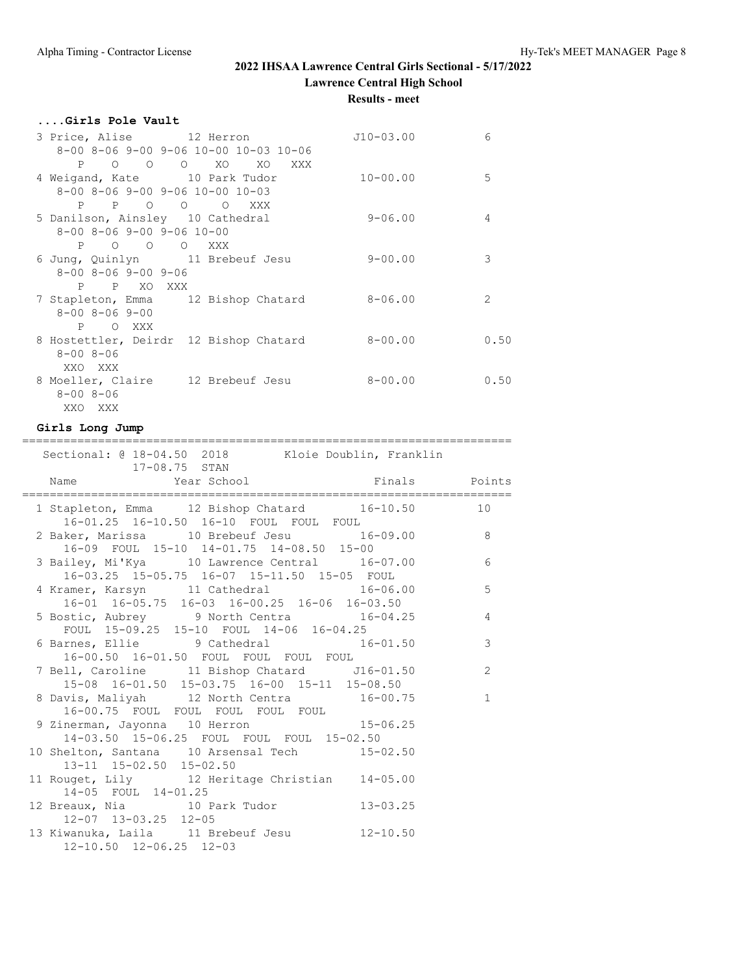**Results - meet**

| Girls Pole Vault                                        |              |                |
|---------------------------------------------------------|--------------|----------------|
| 3 Price, Alise 12 Herron                                | $J10-03.00$  | 6              |
| 8-00 8-06 9-00 9-06 10-00 10-03 10-06                   |              |                |
| P O O O XO XO XXX                                       |              |                |
| 4 Weigand, Kate 10 Park Tudor                           | $10 - 00.00$ | 5              |
| $8 - 00$ $8 - 06$ $9 - 00$ $9 - 06$ $10 - 00$ $10 - 03$ |              |                |
| P P O O O XXX                                           |              |                |
| 5 Danilson, Ainsley 10 Cathedral                        | $9 - 06.00$  | 4              |
| $8 - 00$ $8 - 06$ $9 - 00$ $9 - 06$ $10 - 00$           |              |                |
| P O O O XXX                                             |              |                |
| 6 Jung, Quinlyn 11 Brebeuf Jesu                         | $9 - 00.00$  | 3              |
| $8 - 00$ $8 - 06$ $9 - 00$ $9 - 06$                     |              |                |
| P P XO XXX                                              |              |                |
| 7 Stapleton, Emma 12 Bishop Chatard                     | $8 - 06.00$  | $\mathfrak{D}$ |
| $8 - 00$ $8 - 06$ $9 - 00$                              |              |                |
| P OXXX                                                  |              |                |
| 8 Hostettler, Deirdr 12 Bishop Chatard                  | $8 - 00.00$  | 0.50           |
| $8 - 008 - 06$                                          |              |                |
| XXO XXX                                                 |              |                |
| 8 Moeller, Claire 12 Brebeuf Jesu                       | $8 - 00.00$  | 0.50           |
| $8 - 008 - 06$                                          |              |                |
| XXO XXX                                                 |              |                |

### **Girls Long Jump**

| =========================<br>Sectional: @ 18-04.50 2018 Kloie Doublin, Franklin                                                        |                |
|----------------------------------------------------------------------------------------------------------------------------------------|----------------|
| 17-08.75 STAN<br>Name Year School Manuel Points<br>--------------------<br>__________________________                                  |                |
| 1 Stapleton, Emma 12 Bishop Chatard 16-10.50 10                                                                                        |                |
| $10-01.2$ $10-10.50$ $16-10$ FOUL FOUL FOUL<br>2 Baker, Marissa 10 Brebeuf Jesu 16-09.00 8<br>16-09 FOUL 15-10 14-01.75 14-08.50 15-00 |                |
| 3 Bailey, Mi'Kya 10 Lawrence Central 16-07.00<br>16-03.25 15-05.75 16-07 15-11.50 15-05 FOUL                                           | 6              |
| 4 Kramer, Karsyn 11 Cathedral 16-06.00 5<br>16-01 16-05.75 16-03 16-00.25 16-06 16-03.50                                               |                |
| 5 Bostic, Aubrey 9 North Centra 16-04.25<br>FOUL 15-09.25 15-10 FOUL 14-06 16-04.25                                                    | $\overline{4}$ |
| 6 Barnes, Ellie 9 Cathedral 16-01.50<br>16-00.50 16-01.50 FOUL FOUL FOUL FOUL                                                          | 3              |
| 7 Bell, Caroline 11 Bishop Chatard J16-01.50<br>15-08 16-01.50 15-03.75 16-00 15-11 15-08.50                                           | 2              |
| 8 Davis, Maliyah 12 North Centra 16-00.75<br>16-00.75 FOUL FOUL FOUL FOUL FOUL                                                         | $\mathbf{1}$   |
| 9 Zinerman, Jayonna 10 Herron 15-06.25<br>14-03.50 15-06.25 FOUL FOUL FOUL 15-02.50                                                    |                |
| 10 Shelton, Santana 10 Arsensal Tech 15-02.50<br>13-11 15-02.50 15-02.50                                                               |                |
| 11 Rouget, Lily 12 Heritage Christian 14-05.00<br>14-05 FOUL 14-01.25                                                                  |                |
| 12 Breaux, Nia 10 Park Tudor 13-03.25<br>12-07 13-03.25 12-05                                                                          |                |
| 13 Kiwanuka, Laila 11 Brebeuf Jesu 12-10.50<br>$12 - 10.50$ $12 - 06.25$ $12 - 03$                                                     |                |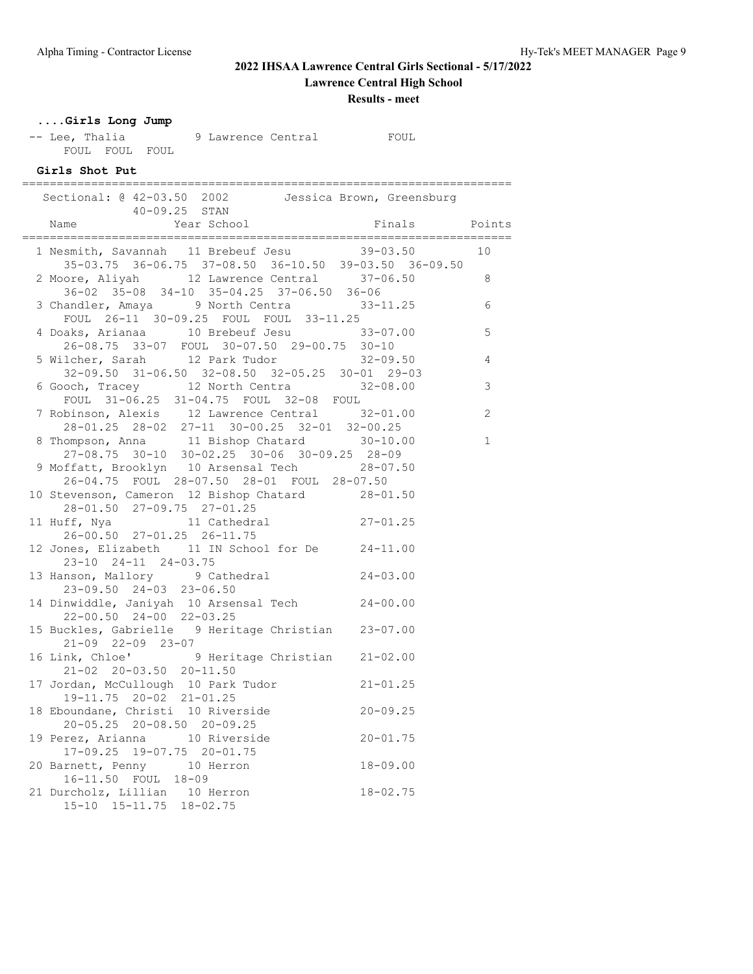## **2022 IHSAA Lawrence Central Girls Sectional - 5/17/2022**

**Lawrence Central High School**

**Results - meet**

## **....Girls Long Jump**

-- Lee, Thalia 9 Lawrence Central FOUL FOUL FOUL FOUL

### **Girls Shot Put**

| Sectional: @ 42-03.50 2002 Jessica Brown, Greensburg<br>40-09.25 STAN Name Year School Finals Points                                               |                  |                |
|----------------------------------------------------------------------------------------------------------------------------------------------------|------------------|----------------|
|                                                                                                                                                    | ---------------- |                |
| 1 Nesmith, Savannah 11 Brebeuf Jesu 39-03.50 10                                                                                                    |                  |                |
| 35-03.75 36-06.75 37-08.50 36-10.50 39-03.50 36-09.50<br>2 Moore, Aliyah 12 Lawrence Central 37-06.50<br>36-02 35-08 34-10 35-04.25 37-06.50 36-06 |                  | 8              |
| 3 Chandler, Amaya 9 North Centra 33-11.25 6<br>FOUL 26-11 30-09.25 FOUL FOUL 33-11.25                                                              |                  |                |
| 4 Doaks, Arianaa 10 Brebeuf Jesu 33-07.00<br>26-08.75 33-07 FOUL 30-07.50 29-00.75 30-10                                                           |                  | 5              |
| 5 Wilcher, Sarah 12 Park Tudor 32-09.50<br>32-09.50 31-06.50 32-08.50 32-05.25 30-01 29-03                                                         |                  | $\overline{4}$ |
| 6 Gooch, Tracey 12 North Centra 32-08.00<br>FOUL 31-06.25 31-04.75 FOUL 32-08 FOUL                                                                 |                  | $\mathcal{S}$  |
| 7 Robinson, Alexis 12 Lawrence Central 32-01.00<br>$28-01.25 \quad 28-02 \quad 27-11 \quad 30-00.25 \quad 32-01 \quad 32-00.25$                    |                  | 2              |
| 8 Thompson, Anna 11 Bishop Chatard 30-10.00<br>$27 - 08.75$ 30-10 30-02.25 30-06 30-09.25 28-09                                                    |                  | $\mathbf{1}$   |
| 9 Moffatt, Brooklyn 10 Arsensal Tech 28-07.50<br>26-04.75 FOUL 28-07.50 28-01 FOUL 28-07.50                                                        |                  |                |
| 10 Stevenson, Cameron 12 Bishop Chatard 28-01.50<br>28-01.50 27-09.75 27-01.25                                                                     |                  |                |
| 11 Huff, Nya $11$ Cathedral $27-01.25$<br>26-00.50 27-01.25 26-11.75                                                                               |                  |                |
| 12 Jones, Elizabeth 11 IN School for De 24-11.00<br>$23-10$ $24-11$ $24-03.75$                                                                     |                  |                |
| 13 Hanson, Mallory 9 Cathedral 24-03.00<br>23-09.50 24-03 23-06.50                                                                                 |                  |                |
| 14 Dinwiddle, Janiyah 10 Arsensal Tech 24-00.00<br>22-00.50 24-00 22-03.25                                                                         |                  |                |
| 15 Buckles, Gabrielle 9 Heritage Christian 23-07.00<br>21-09 22-09 23-07                                                                           |                  |                |
| 16 Link, Chloe' 9 Heritage Christian 21-02.00<br>21-02 20-03.50 20-11.50                                                                           |                  |                |
| 17 Jordan, McCullough 10 Park Tudor 21-01.25<br>19-11.75 20-02 21-01.25                                                                            |                  |                |
| 18 Eboundane, Christi 10 Riverside 20-09.25<br>20-05.25 20-08.50 20-09.25                                                                          |                  |                |
| 19 Perez, Arianna 10 Riverside<br>17-09 25 19-07 75 20 01 75<br>17-09.25 19-07.75 20-01.75                                                         | $20 - 01.75$     |                |
| $18-09.00$<br>$18-02.75$<br>20 Barnett, Penny 10 Herron<br>16-11.50 FOUL 18-09                                                                     |                  |                |
| 21 Durcholz, Lillian 10 Herron<br>15-10 15-11.75 18-02.75                                                                                          |                  |                |